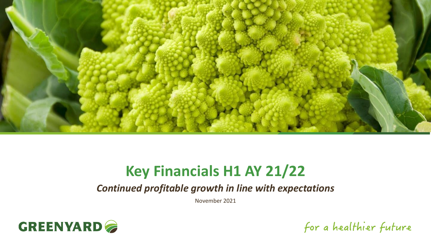

# **Key Financials H1 AY 21/22**

*Continued profitable growth in line with expectations*

November 2021



for a healthier future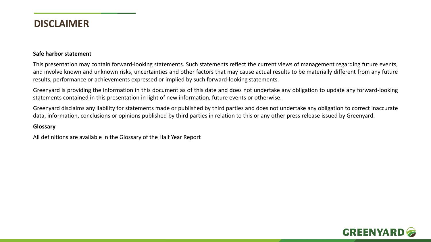### **DISCLAIMER**

#### **Safe harbor statement**

This presentation may contain forward-looking statements. Such statements reflect the current views of management regarding future events, and involve known and unknown risks, uncertainties and other factors that may cause actual results to be materially different from any future results, performance or achievements expressed or implied by such forward-looking statements.

Greenyard is providing the information in this document as of this date and does not undertake any obligation to update any forward-looking statements contained in this presentation in light of new information, future events or otherwise.

Greenyard disclaims any liability for statements made or published by third parties and does not undertake any obligation to correct inaccurate data, information, conclusions or opinions published by third parties in relation to this or any other press release issued by Greenyard.

#### **Glossary**

All definitions are available in the Glossary of the Half Year Report

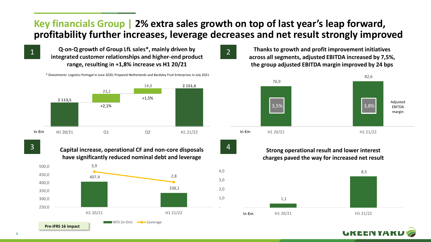# **Key financials Group | 2% extra sales growth on top of last year's leap forward, profitability further increases, leverage decreases and net result strongly improved**

-

 1,0 2,0

3,0

4,0

Q-on-Q growth of Group LfL sales\*, mainly driven by<br>integrated customer relationships and higher-end product range, resulting in +1,8% increase vs H1 20/21

\* Divestments: Logistics Portugal in June 2020, Prepared Netherlands and Bardsley Fruit Enterprises in July 2021



**Capital increase, operational CF and non-core disposals**  3 4 **have significantly reduced nominal debt and leverage**





**Thanks to growth and profit improvement initiatives across all segments, adjusted EBITDA increased by 7,5%, the group adjusted EBITDA margin improved by 24 bps**



**Strong operational result and lower interest charges paved the way for increased net result** 



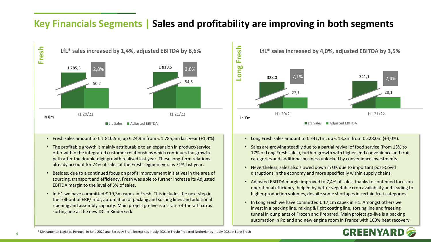# **Key Financials Segments | Sales and profitability are improving in both segments**



- Fresh sales amount to  $\epsilon$  1 810,5m, up  $\epsilon$  24,9m from  $\epsilon$  1 785,5m last year (+1,4%).
- The profitable growth is mainly attributable to an expansion in product/service offer within the integrated customer relationships which continues the growth path after the double-digit growth realised last year. These long-term relations already account for 74% of sales of the Fresh segment versus 71% last year.
- Besides, due to a continued focus on profit improvement initiatives in the area of sourcing, transport and efficiency, Fresh was able to further increase its Adjusted EBITDA margin to the level of 3% of sales.
- In H1 we have committed  $\epsilon$  19,3m capex in Fresh. This includes the next step in the roll-out of ERP/Infor, automation of packing and sorting lines and additional ripening and assembly capacity. Main project go-live is a 'state-of-the-art' citrus sorting line at the new DC in Ridderkerk.



- Long Fresh sales amount to  $\epsilon$  341,1m, up  $\epsilon$  13,2m from  $\epsilon$  328,0m (+4,0%).
- Sales are growing steadily due to a partial revival of food service (from 13% to 17% of Long Fresh sales), further growth with higher-end convenience and fruit categories and additional business unlocked by convenience investments.
- Nevertheless, sales also slowed down in UK due to important post-Covid disruptions in the economy and more specifically within supply chains.
- Adjusted EBITDA margin improved to 7,4% of sales, thanks to continued focus on operational efficiency, helped by better vegetable crop availability and leading to higher production volumes, despite some shortages in certain fruit categories.
- In Long Fresh we have committed  $\epsilon$  17,1m capex in H1. Amongst others we invest in a packing line, mixing & light coating line, sorting line and freezing tunnel in our plants of Frozen and Prepared. Main project go-live is a packing automation in Poland and new engine room in France with 100% heat recovery.



**4**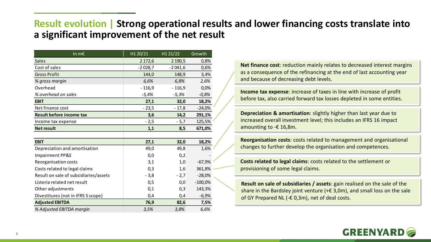# **Result evolution | Strong operational results and lower financing costs translate into a significant improvement of the net result**

| In $m\epsilon$                        | H1 20/21  | H1 21/22  | Growth    |
|---------------------------------------|-----------|-----------|-----------|
| <b>Sales</b>                          | 2 172,6   | 2 190,5   | 0,8%      |
| Cost of sales                         | $-2028,7$ | $-2041,6$ | 0,6%      |
| <b>Gross Profit</b>                   | 144,0     | 148,9     | 3,4%      |
| % gross margin                        | 6,6%      | 6,8%      | 2,6%      |
| Overhead                              | $-116,9$  | $-116,9$  | 0,0%      |
| % overhead on sales                   | $-5,4%$   | -5,3%     | $-0,8%$   |
| <b>EBIT</b>                           | 27,1      | 32,0      | 18,2%     |
| Net finance cost                      | $-23,5$   | $-17,8$   | $-24,0%$  |
| <b>Result before income tax</b>       | 3,6       | 14,2      | 291,1%    |
| Income tax expense                    | $-2,5$    | $-5,7$    | 125,5%    |
| <b>Net result</b>                     | 1,1       | 8,5       | 671,0%    |
|                                       |           |           |           |
| <b>EBIT</b>                           | 27,1      | 32,0      | 18,2%     |
| Depreciation and amortisation         | 49,0      | 49,8      | 1,6%      |
| Impairment PP&E                       | 0,0       | 0,2       |           |
| Reorganisation costs                  | 3,1       | 1,0       | $-67,9%$  |
| Costs related to legal claims         | 0,3       | 1,6       | 361,8% -  |
| Result on sale of subsidiaries/assets | $-3,8$    | $-2,7$    | $-28,0%$  |
| Listeria related net result           | 0,5       | 0,0       | $-100,0%$ |
| Other adjustments                     | 0,1       | 0,3       | 143,3%    |
| Divestitures (not in IFRS 5 scope)    | 0,4       | 0,4       | $-6,9%$   |
| <b>Adjusted EBITDA</b>                | 76,9      | 82,6      | 7,5%      |
| % Adjusted EBITDA margin              | 3,5%      | 3,8%      | 6,6%      |

**Net finance cost**: reduction mainly relates to decreased interest margins as a consequence of the refinancing at the end of last accounting year and because of decreasing debt levels.

**Income tax expense**: increase of taxes in line with increase of profit before tax, also carried forward tax losses depleted in some entities.

**Depreciation & amortisation**: slightly higher than last year due to increased overall investment level; this includes an IFRS 16 impact amounting to -€ 16,8m.

**Reorganisation costs**: costs related to management and organisational changes to further develop the organisation and competences.

**Costs related to legal claims**: costs related to the settlement or provisioning of some legal claims.

**Result on sale of subsidiaries / assets**: gain realised on the sale of the share in the Bardsley joint venture ( $+ \epsilon$  3,0m), and small loss on the sale of GY Prepared NL (-€ 0,3m), net of deal costs.

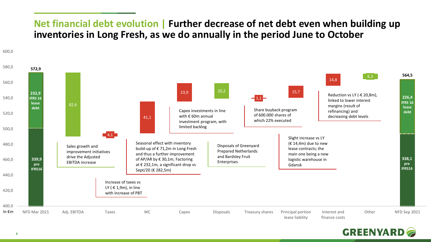# **Net financial debt evolution | Further decrease of net debt even when building up inventories in Long Fresh, as we do annually in the period June to October**



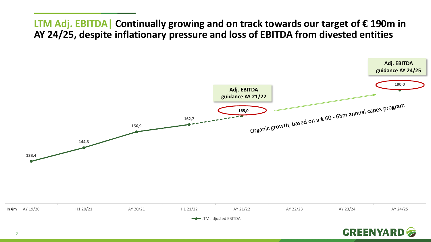**LTM Adj. EBITDA| Continually growing and on track towards our target of € 190m in AY 24/25, despite inflationary pressure and loss of EBITDA from divested entities**